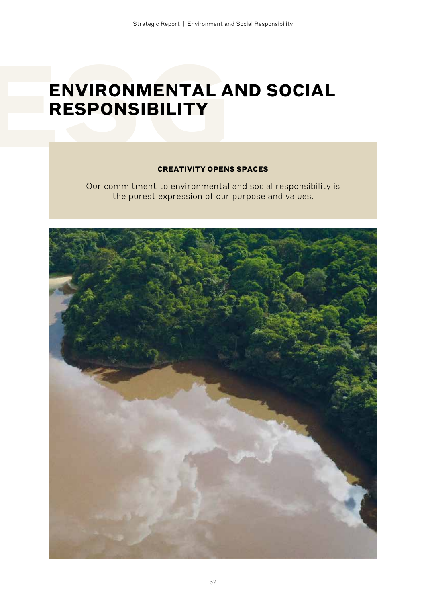# **ENVIRONMENTAL AND SOCIAL RESPONSIBILITY**

### **CREATIVITY OPENS SPACES**

Our commitment to environmental and social responsibility is the purest expression of our purpose and values.

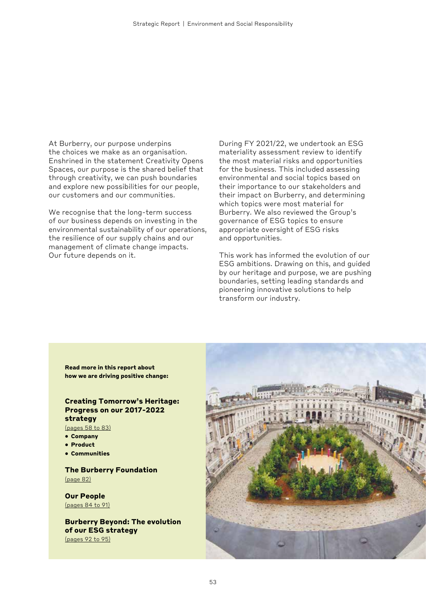At Burberry, our purpose underpins the choices we make as an organisation. Enshrined in the statement Creativity Opens Spaces, our purpose is the shared belief that through creativity, we can push boundaries and explore new possibilities for our people, our customers and our communities.

We recognise that the long-term success of our business depends on investing in the environmental sustainability of our operations, the resilience of our supply chains and our management of climate change impacts. Our future depends on it.

During FY 2021/22, we undertook an ESG materiality assessment review to identify the most material risks and opportunities for the business. This included assessing environmental and social topics based on their importance to our stakeholders and their impact on Burberry, and determining which topics were most material for Burberry. We also reviewed the Group's governance of ESG topics to ensure appropriate oversight of ESG risks and opportunities.

This work has informed the evolution of our ESG ambitions. Drawing on this, and guided by our heritage and purpose, we are pushing boundaries, setting leading standards and pioneering innovative solutions to help transform our industry.

**Read more in this report about how we are driving positive change:**

## **Creating Tomorrow's Heritage: Progress on our 2017-2022 strategy**

(pages 58 to 83) **• Company**

- 
- **• Product**
- **• Communities**

#### **The Burberry Foundation** (page 82)

**Our People**  (pages 84 to 91)

**Burberry Beyond: The evolution of our ESG strategy** (pages 92 to 95)

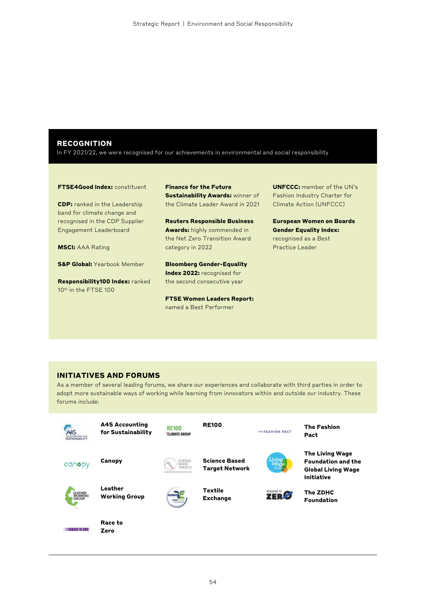#### **RECOGNITION**

In FY 2021/22, we were recognised for our achievements in environmental and social responsibility

#### **FTSE4Good Index:** constituent

**CDP:** ranked in the Leadership band for climate change and recognised in the CDP Supplier Engagement Leaderboard

**MSCI:** AAA Rating

**S&P Global:** Yearbook Member

**Responsibility100 Index:** ranked 10<sup>th</sup> in the FTSE 100

**Finance for the Future Sustainability Awards: winner of** the Climate Leader Award in 2021

**Reuters Responsible Business Awards:** highly commended in the Net Zero Transition Award category in 2022

**Bloomberg Gender-Equality Index 2022:** recognised for the second consecutive year

**FTSE Women Leaders Report:**  named a Best Performer

**UNFCCC:** member of the UN's Fashion Industry Charter for Climate Action (UNFCCC)

**European Women on Boards Gender Equality Index:**  recognised as a Best Practice Leader

#### **INITIATIVES AND FORUMS**

As a member of several leading forums, we share our experiences and collaborate with third parties in order to adopt more sustainable ways of working while learning from innovators within and outside our industry. These forums include:

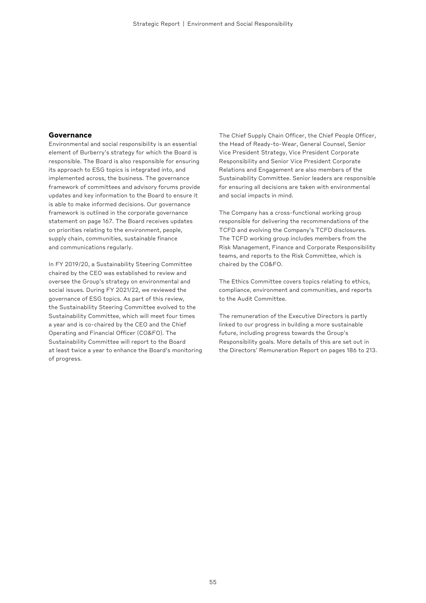#### **Governance**

Environmental and social responsibility is an essential element of Burberry's strategy for which the Board is responsible. The Board is also responsible for ensuring its approach to ESG topics is integrated into, and implemented across, the business. The governance framework of committees and advisory forums provide updates and key information to the Board to ensure it is able to make informed decisions. Our governance framework is outlined in the corporate governance statement on page 167. The Board receives updates on priorities relating to the environment, people, supply chain, communities, sustainable finance and communications regularly.

In FY 2019/20, a Sustainability Steering Committee chaired by the CEO was established to review and oversee the Group's strategy on environmental and social issues. During FY 2021/22, we reviewed the governance of ESG topics. As part of this review, the Sustainability Steering Committee evolved to the Sustainability Committee, which will meet four times a year and is co-chaired by the CEO and the Chief Operating and Financial Officer (CO&FO). The Sustainability Committee will report to the Board at least twice a year to enhance the Board's monitoring of progress.

The Chief Supply Chain Officer, the Chief People Officer, the Head of Ready-to-Wear, General Counsel, Senior Vice President Strategy, Vice President Corporate Responsibility and Senior Vice President Corporate Relations and Engagement are also members of the Sustainability Committee. Senior leaders are responsible for ensuring all decisions are taken with environmental and social impacts in mind.

The Company has a cross-functional working group responsible for delivering the recommendations of the TCFD and evolving the Company's TCFD disclosures. The TCFD working group includes members from the Risk Management, Finance and Corporate Responsibility teams, and reports to the Risk Committee, which is chaired by the CO&FO.

The Ethics Committee covers topics relating to ethics, compliance, environment and communities, and reports to the Audit Committee.

The remuneration of the Executive Directors is partly linked to our progress in building a more sustainable future, including progress towards the Group's Responsibility goals. More details of this are set out in the Directors' Remuneration Report on pages 186 to 213.